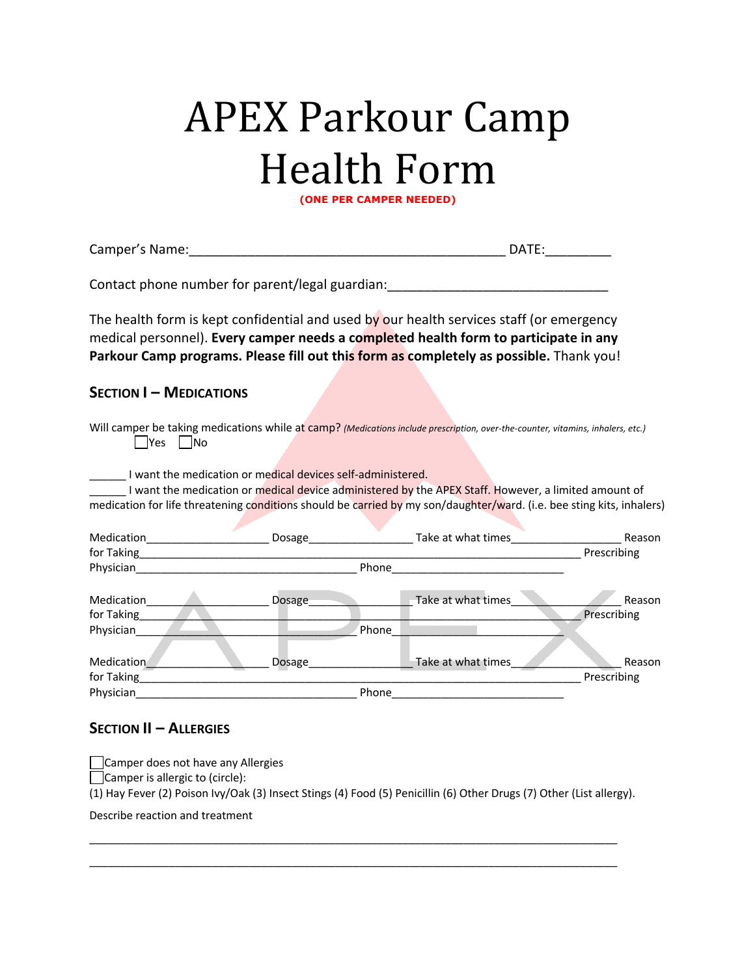## **APEX Parkour Camp Health Form**

**(ONE PER CAMPER NEEDED)**

| Contact phone number for parent/legal guardian: ________________________________<br>The health form is kept confidential and used by our health services staff (or emergency<br>medical personnel). Every camper needs a completed health form to participate in any<br>Parkour Camp programs. Please fill out this form as completely as possible. Thank you!<br><b>SECTION I - MEDICATIONS</b><br>Will camper be taking medications while at camp? (Medications include prescription, over-the-counter, vitamins, inhalers, etc.)<br>IYes I No<br>I want the medication or medical devices self-administered.<br>I want the medication or medical device administered by the APEX Staff. However, a limited amount of<br>medication for life threatening conditions should be carried by my son/daughter/ward. (i.e. bee sting kits, inhalers)<br>Reason<br>Prescribing<br>Phone<br>Physician <b>Executive Contract Contract Contract Contract Contract Contract Contract Contract Contract Contract Contract Contract Contract Contract Contract Contract Contract Contract Contract Contract Contract Contract Con</b><br>Take at what times<br><b>Medication</b><br>Reason<br><b>Example 20 Dosage</b><br>Prescribing<br>for Taking<br>Phone<br>Physician<br>Take at what times<br>Medication<br>Reason<br>Dosage<br>Prescribing<br>for Taking<br>Physician<br>Phone | Camper's Name: |  | DATE: |
|---------------------------------------------------------------------------------------------------------------------------------------------------------------------------------------------------------------------------------------------------------------------------------------------------------------------------------------------------------------------------------------------------------------------------------------------------------------------------------------------------------------------------------------------------------------------------------------------------------------------------------------------------------------------------------------------------------------------------------------------------------------------------------------------------------------------------------------------------------------------------------------------------------------------------------------------------------------------------------------------------------------------------------------------------------------------------------------------------------------------------------------------------------------------------------------------------------------------------------------------------------------------------------------------------------------------------------------------------------------------------|----------------|--|-------|
|                                                                                                                                                                                                                                                                                                                                                                                                                                                                                                                                                                                                                                                                                                                                                                                                                                                                                                                                                                                                                                                                                                                                                                                                                                                                                                                                                                           |                |  |       |
|                                                                                                                                                                                                                                                                                                                                                                                                                                                                                                                                                                                                                                                                                                                                                                                                                                                                                                                                                                                                                                                                                                                                                                                                                                                                                                                                                                           |                |  |       |
|                                                                                                                                                                                                                                                                                                                                                                                                                                                                                                                                                                                                                                                                                                                                                                                                                                                                                                                                                                                                                                                                                                                                                                                                                                                                                                                                                                           |                |  |       |
|                                                                                                                                                                                                                                                                                                                                                                                                                                                                                                                                                                                                                                                                                                                                                                                                                                                                                                                                                                                                                                                                                                                                                                                                                                                                                                                                                                           |                |  |       |
|                                                                                                                                                                                                                                                                                                                                                                                                                                                                                                                                                                                                                                                                                                                                                                                                                                                                                                                                                                                                                                                                                                                                                                                                                                                                                                                                                                           |                |  |       |
|                                                                                                                                                                                                                                                                                                                                                                                                                                                                                                                                                                                                                                                                                                                                                                                                                                                                                                                                                                                                                                                                                                                                                                                                                                                                                                                                                                           |                |  |       |
|                                                                                                                                                                                                                                                                                                                                                                                                                                                                                                                                                                                                                                                                                                                                                                                                                                                                                                                                                                                                                                                                                                                                                                                                                                                                                                                                                                           |                |  |       |
|                                                                                                                                                                                                                                                                                                                                                                                                                                                                                                                                                                                                                                                                                                                                                                                                                                                                                                                                                                                                                                                                                                                                                                                                                                                                                                                                                                           |                |  |       |
|                                                                                                                                                                                                                                                                                                                                                                                                                                                                                                                                                                                                                                                                                                                                                                                                                                                                                                                                                                                                                                                                                                                                                                                                                                                                                                                                                                           |                |  |       |
|                                                                                                                                                                                                                                                                                                                                                                                                                                                                                                                                                                                                                                                                                                                                                                                                                                                                                                                                                                                                                                                                                                                                                                                                                                                                                                                                                                           |                |  |       |
|                                                                                                                                                                                                                                                                                                                                                                                                                                                                                                                                                                                                                                                                                                                                                                                                                                                                                                                                                                                                                                                                                                                                                                                                                                                                                                                                                                           |                |  |       |
|                                                                                                                                                                                                                                                                                                                                                                                                                                                                                                                                                                                                                                                                                                                                                                                                                                                                                                                                                                                                                                                                                                                                                                                                                                                                                                                                                                           |                |  |       |

## **SECTION II – ALLERGIES**

Camper does not have any Allergies

Camper is allergic to (circle):

(1) Hay Fever (2) Poison Ivy/Oak (3) Insect Stings (4) Food (5) Penicillin (6) Other Drugs (7) Other (List allergy).

\_\_\_\_\_\_\_\_\_\_\_\_\_\_\_\_\_\_\_\_\_\_\_\_\_\_\_\_\_\_\_\_\_\_\_\_\_\_\_\_\_\_\_\_\_\_\_\_\_\_\_\_\_\_\_\_\_\_\_\_\_\_\_\_\_\_\_\_\_\_\_\_\_\_\_\_\_\_\_\_\_\_\_\_\_\_ \_\_\_\_\_\_\_\_\_\_\_\_\_\_\_\_\_\_\_\_\_\_\_\_\_\_\_\_\_\_\_\_\_\_\_\_\_\_\_\_\_\_\_\_\_\_\_\_\_\_\_\_\_\_\_\_\_\_\_\_\_\_\_\_\_\_\_\_\_\_\_\_\_\_\_\_\_\_\_\_\_\_\_\_\_\_

Describe reaction and treatment